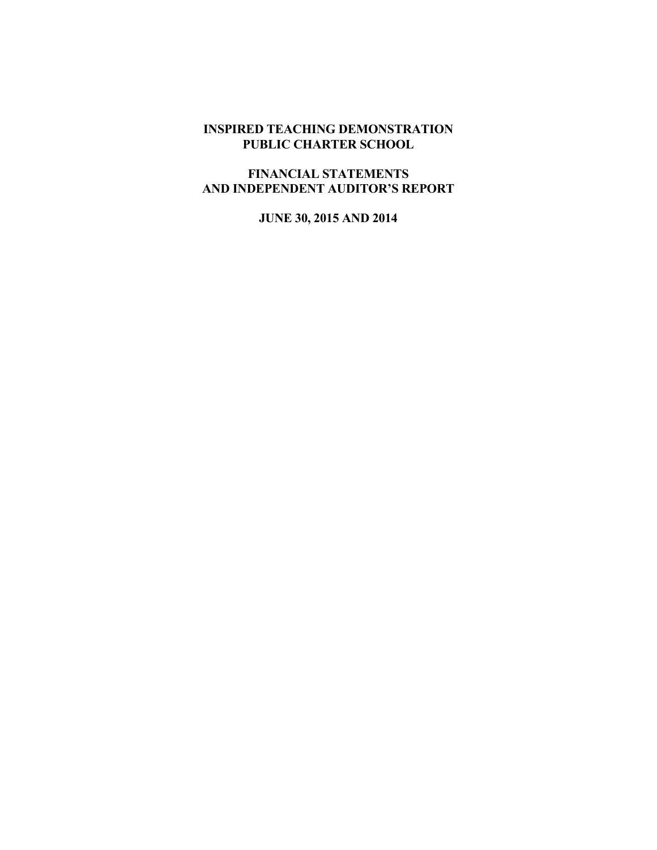## INSPIRED TEACHING DEMONSTRATION PUBLIC CHARTER SCHOOL

# FINANCIAL STATEMENTS AND INDEPENDENT AUDITOR'S REPORT

JUNE 30, 2015 AND 2014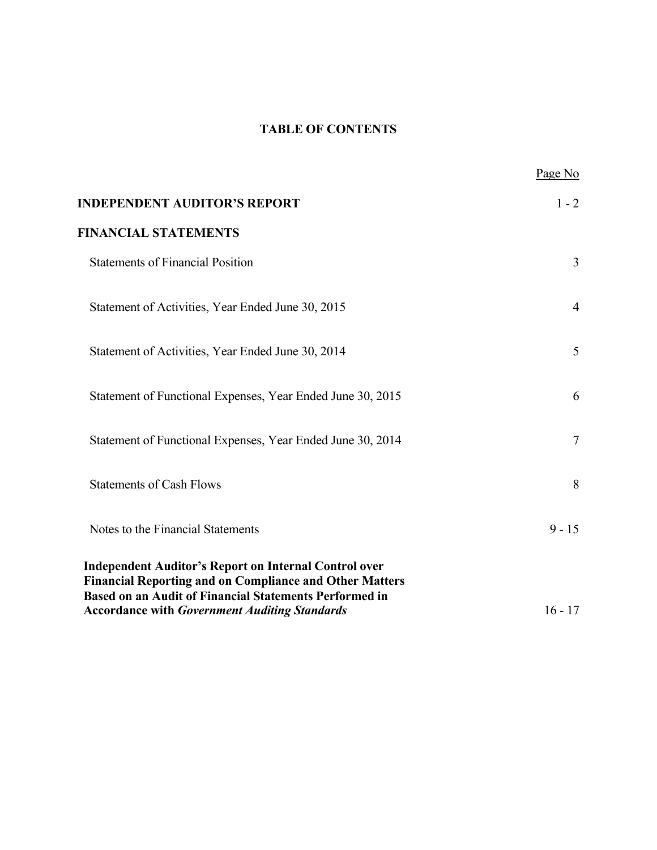# TABLE OF CONTENTS

|                                                                                                                                                                                                 | Page No        |
|-------------------------------------------------------------------------------------------------------------------------------------------------------------------------------------------------|----------------|
| <b>INDEPENDENT AUDITOR'S REPORT</b>                                                                                                                                                             | $1 - 2$        |
| <b>FINANCIAL STATEMENTS</b>                                                                                                                                                                     |                |
| <b>Statements of Financial Position</b>                                                                                                                                                         | $\overline{3}$ |
| Statement of Activities, Year Ended June 30, 2015                                                                                                                                               | 4              |
| Statement of Activities, Year Ended June 30, 2014                                                                                                                                               | 5              |
| Statement of Functional Expenses, Year Ended June 30, 2015                                                                                                                                      | 6              |
| Statement of Functional Expenses, Year Ended June 30, 2014                                                                                                                                      | $\tau$         |
| <b>Statements of Cash Flows</b>                                                                                                                                                                 | 8              |
| Notes to the Financial Statements                                                                                                                                                               | $9 - 15$       |
| <b>Independent Auditor's Report on Internal Control over</b><br><b>Financial Reporting and on Compliance and Other Matters</b><br><b>Based on an Audit of Financial Statements Performed in</b> |                |
| <b>Accordance with Government Auditing Standards</b>                                                                                                                                            | $16 - 17$      |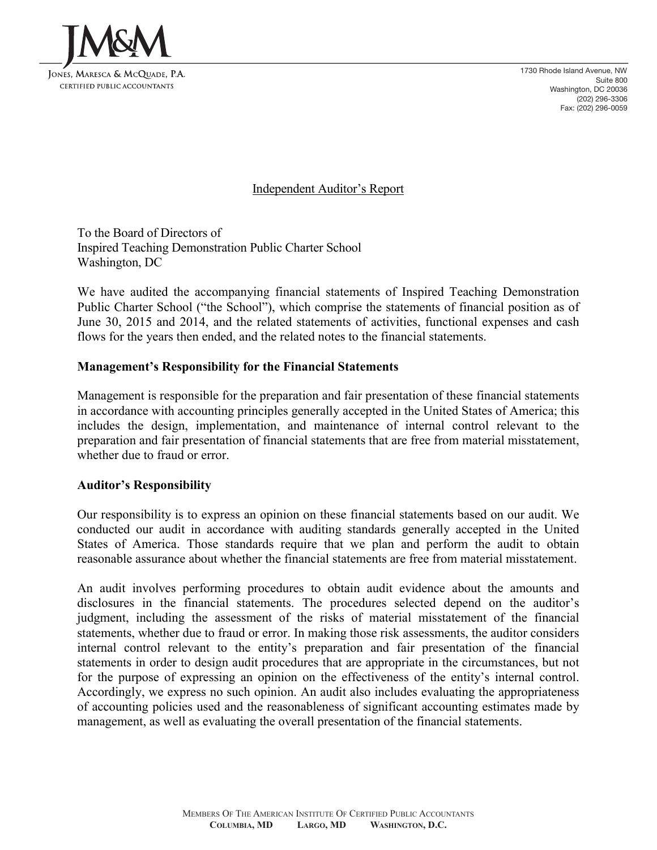

1730 Rhode Island Avenue, NW Suite 800 Washington, DC 20036 (202) 296-3306 Fax: (202) 296-0059

Independent Auditor's Report

To the Board of Directors of Inspired Teaching Demonstration Public Charter School Washington, DC

We have audited the accompanying financial statements of Inspired Teaching Demonstration Public Charter School ("the School"), which comprise the statements of financial position as of June 30, 2015 and 2014, and the related statements of activities, functional expenses and cash flows for the years then ended, and the related notes to the financial statements.

## Management's Responsibility for the Financial Statements

Management is responsible for the preparation and fair presentation of these financial statements in accordance with accounting principles generally accepted in the United States of America; this includes the design, implementation, and maintenance of internal control relevant to the preparation and fair presentation of financial statements that are free from material misstatement, whether due to fraud or error.

#### Auditor's Responsibility

Our responsibility is to express an opinion on these financial statements based on our audit. We conducted our audit in accordance with auditing standards generally accepted in the United States of America. Those standards require that we plan and perform the audit to obtain reasonable assurance about whether the financial statements are free from material misstatement.

An audit involves performing procedures to obtain audit evidence about the amounts and disclosures in the financial statements. The procedures selected depend on the auditor's judgment, including the assessment of the risks of material misstatement of the financial statements, whether due to fraud or error. In making those risk assessments, the auditor considers internal control relevant to the entity's preparation and fair presentation of the financial statements in order to design audit procedures that are appropriate in the circumstances, but not for the purpose of expressing an opinion on the effectiveness of the entity's internal control. Accordingly, we express no such opinion. An audit also includes evaluating the appropriateness of accounting policies used and the reasonableness of significant accounting estimates made by management, as well as evaluating the overall presentation of the financial statements.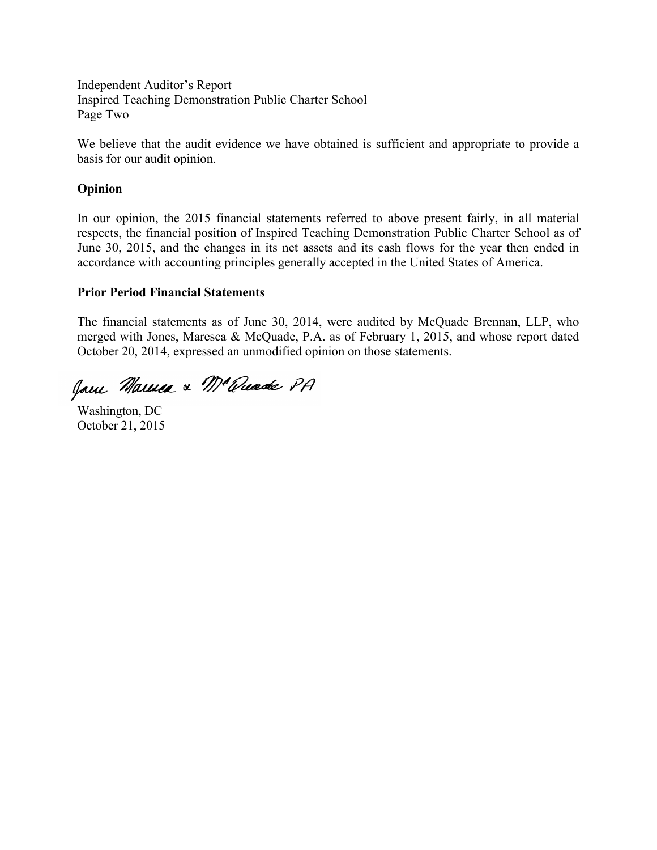Independent Auditor's Report Inspired Teaching Demonstration Public Charter School Page Two

We believe that the audit evidence we have obtained is sufficient and appropriate to provide a basis for our audit opinion.

#### Opinion

In our opinion, the 2015 financial statements referred to above present fairly, in all material respects, the financial position of Inspired Teaching Demonstration Public Charter School as of June 30, 2015, and the changes in its net assets and its cash flows for the year then ended in accordance with accounting principles generally accepted in the United States of America.

#### Prior Period Financial Statements

The financial statements as of June 30, 2014, were audited by McQuade Brennan, LLP, who merged with Jones, Maresca & McQuade, P.A. as of February 1, 2015, and whose report dated October 20, 2014, expressed an unmodified opinion on those statements.

Jam Marina & Mc Quade PA

Washington, DC October 21, 2015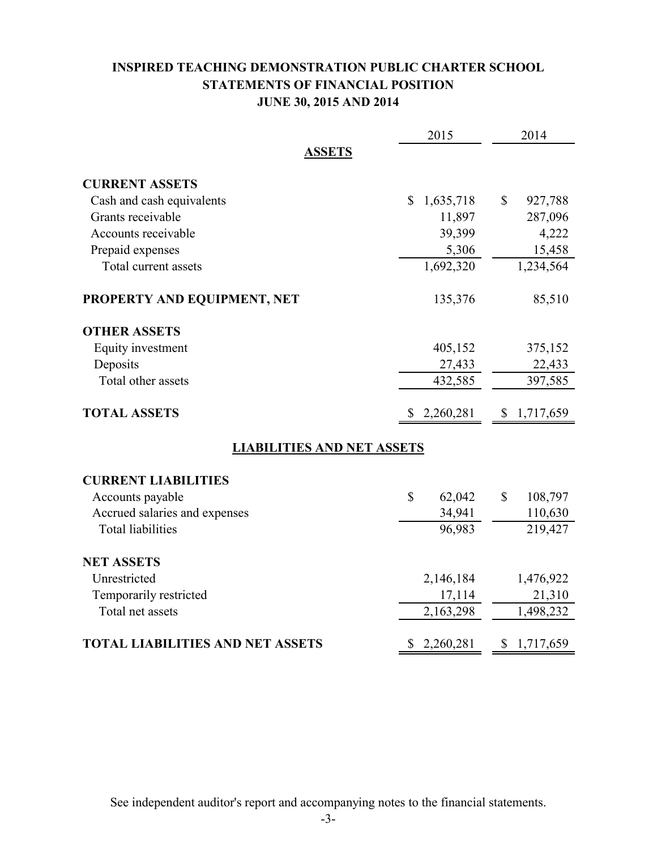# INSPIRED TEACHING DEMONSTRATION PUBLIC CHARTER SCHOOL STATEMENTS OF FINANCIAL POSITION JUNE 30, 2015 AND 2014

|                                         | 2015                      | 2014                    |
|-----------------------------------------|---------------------------|-------------------------|
| <b>ASSETS</b>                           |                           |                         |
| <b>CURRENT ASSETS</b>                   |                           |                         |
| Cash and cash equivalents               | 1,635,718<br>$\mathbb{S}$ | \$<br>927,788           |
| Grants receivable                       | 11,897                    | 287,096                 |
| Accounts receivable                     | 39,399                    | 4,222                   |
| Prepaid expenses                        | 5,306                     | 15,458                  |
| Total current assets                    | 1,692,320                 | 1,234,564               |
| PROPERTY AND EQUIPMENT, NET             | 135,376                   | 85,510                  |
| <b>OTHER ASSETS</b>                     |                           |                         |
| Equity investment                       | 405,152                   | 375,152                 |
| Deposits                                | 27,433                    | 22,433                  |
| Total other assets                      | 432,585                   | 397,585                 |
| <b>TOTAL ASSETS</b>                     | 2,260,281<br>\$           | 1,717,659<br>\$         |
| <b>LIABILITIES AND NET ASSETS</b>       |                           |                         |
| <b>CURRENT LIABILITIES</b>              |                           |                         |
| Accounts payable                        | \$<br>62,042              | $\mathbb{S}$<br>108,797 |
| Accrued salaries and expenses           | 34,941                    | 110,630                 |
| <b>Total liabilities</b>                | 96,983                    | 219,427                 |
| <b>NET ASSETS</b>                       |                           |                         |
| Unrestricted                            | 2,146,184                 | 1,476,922               |
| Temporarily restricted                  | 17,114                    | 21,310                  |
| Total net assets                        | 2,163,298                 | 1,498,232               |
| <b>TOTAL LIABILITIES AND NET ASSETS</b> | 2,260,281<br>\$           | \$<br>1,717,659         |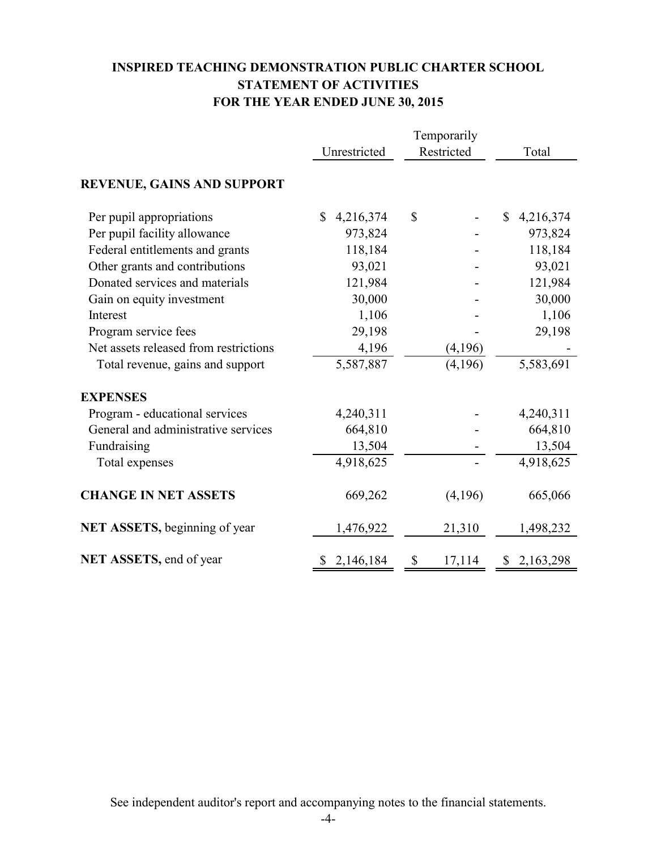# INSPIRED TEACHING DEMONSTRATION PUBLIC CHARTER SCHOOL STATEMENT OF ACTIVITIES FOR THE YEAR ENDED JUNE 30, 2015

|                                       | Temporarily     |              |                           |  |
|---------------------------------------|-----------------|--------------|---------------------------|--|
|                                       | Unrestricted    | Restricted   | Total                     |  |
| <b>REVENUE, GAINS AND SUPPORT</b>     |                 |              |                           |  |
| Per pupil appropriations              | \$<br>4,216,374 | \$           | $\mathbb{S}$<br>4,216,374 |  |
| Per pupil facility allowance          | 973,824         |              | 973,824                   |  |
| Federal entitlements and grants       | 118,184         |              | 118,184                   |  |
| Other grants and contributions        | 93,021          |              | 93,021                    |  |
| Donated services and materials        | 121,984         |              | 121,984                   |  |
| Gain on equity investment             | 30,000          |              | 30,000                    |  |
| Interest                              | 1,106           |              | 1,106                     |  |
| Program service fees                  | 29,198          |              | 29,198                    |  |
| Net assets released from restrictions | 4,196           | (4,196)      |                           |  |
| Total revenue, gains and support      | 5,587,887       | (4,196)      | 5,583,691                 |  |
| <b>EXPENSES</b>                       |                 |              |                           |  |
| Program - educational services        | 4,240,311       |              | 4,240,311                 |  |
| General and administrative services   | 664,810         |              | 664,810                   |  |
| Fundraising                           | 13,504          |              | 13,504                    |  |
| Total expenses                        | 4,918,625       |              | 4,918,625                 |  |
| <b>CHANGE IN NET ASSETS</b>           | 669,262         | (4,196)      | 665,066                   |  |
| <b>NET ASSETS, beginning of year</b>  | 1,476,922       | 21,310       | 1,498,232                 |  |
| NET ASSETS, end of year               | \$2,146,184     | \$<br>17,114 | \$2,163,298               |  |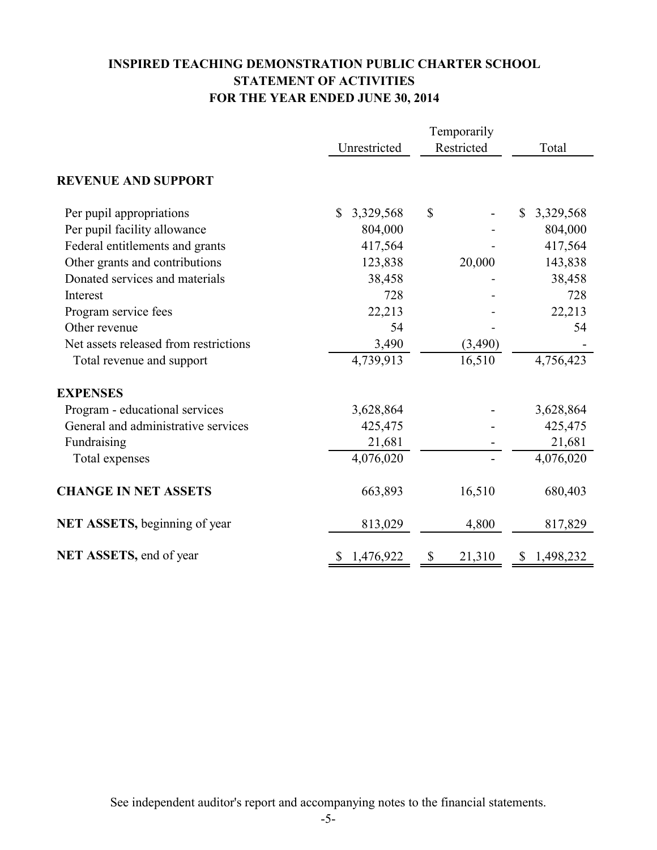# INSPIRED TEACHING DEMONSTRATION PUBLIC CHARTER SCHOOL STATEMENT OF ACTIVITIES FOR THE YEAR ENDED JUNE 30, 2014

|                                       | Temporarily     |              |                 |  |
|---------------------------------------|-----------------|--------------|-----------------|--|
|                                       | Unrestricted    | Restricted   | Total           |  |
| <b>REVENUE AND SUPPORT</b>            |                 |              |                 |  |
| Per pupil appropriations              | 3,329,568<br>\$ | \$           | 3,329,568<br>\$ |  |
| Per pupil facility allowance          | 804,000         |              | 804,000         |  |
| Federal entitlements and grants       | 417,564         |              | 417,564         |  |
| Other grants and contributions        | 123,838         | 20,000       | 143,838         |  |
| Donated services and materials        | 38,458          |              | 38,458          |  |
| Interest                              | 728             |              | 728             |  |
| Program service fees                  | 22,213          |              | 22,213          |  |
| Other revenue                         | 54              |              | 54              |  |
| Net assets released from restrictions | 3,490           | (3,490)      |                 |  |
| Total revenue and support             | 4,739,913       | 16,510       | 4,756,423       |  |
| <b>EXPENSES</b>                       |                 |              |                 |  |
| Program - educational services        | 3,628,864       |              | 3,628,864       |  |
| General and administrative services   | 425,475         |              | 425,475         |  |
| Fundraising                           | 21,681          |              | 21,681          |  |
| Total expenses                        | 4,076,020       |              | 4,076,020       |  |
| <b>CHANGE IN NET ASSETS</b>           | 663,893         | 16,510       | 680,403         |  |
| NET ASSETS, beginning of year         | 813,029         | 4,800        | 817,829         |  |
| NET ASSETS, end of year               | 1,476,922<br>S. | 21,310<br>\$ | 1,498,232<br>\$ |  |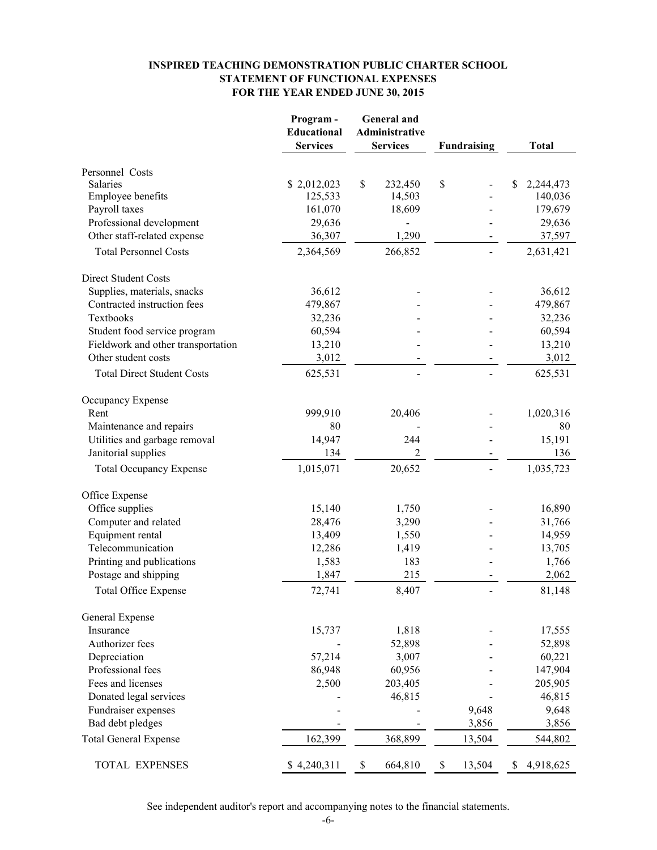#### INSPIRED TEACHING DEMONSTRATION PUBLIC CHARTER SCHOOL STATEMENT OF FUNCTIONAL EXPENSES FOR THE YEAR ENDED JUNE 30, 2015

|                                    | Program-<br>Educational<br><b>Services</b> | <b>General</b> and<br>Administrative<br><b>Services</b> | <b>Fundraising</b> | <b>Total</b>    |  |
|------------------------------------|--------------------------------------------|---------------------------------------------------------|--------------------|-----------------|--|
| Personnel Costs                    |                                            |                                                         |                    |                 |  |
| Salaries                           | \$2,012,023                                | \$<br>232,450                                           | \$                 | \$<br>2,244,473 |  |
| <b>Employee benefits</b>           | 125,533                                    | 14,503                                                  |                    | 140,036         |  |
| Payroll taxes                      | 161,070                                    | 18,609                                                  |                    | 179,679         |  |
| Professional development           | 29,636                                     |                                                         |                    | 29,636          |  |
| Other staff-related expense        | 36,307                                     | 1,290                                                   |                    | 37,597          |  |
| <b>Total Personnel Costs</b>       | 2,364,569                                  | 266,852                                                 |                    | 2,631,421       |  |
| <b>Direct Student Costs</b>        |                                            |                                                         |                    |                 |  |
| Supplies, materials, snacks        | 36,612                                     |                                                         |                    | 36,612          |  |
| Contracted instruction fees        | 479,867                                    |                                                         |                    | 479,867         |  |
| Textbooks                          | 32,236                                     |                                                         |                    | 32,236          |  |
| Student food service program       | 60,594                                     |                                                         |                    | 60,594          |  |
| Fieldwork and other transportation | 13,210                                     |                                                         |                    | 13,210          |  |
| Other student costs                | 3,012                                      |                                                         |                    | 3,012           |  |
| <b>Total Direct Student Costs</b>  | 625,531                                    |                                                         |                    | 625,531         |  |
| Occupancy Expense                  |                                            |                                                         |                    |                 |  |
| Rent                               | 999,910                                    | 20,406                                                  |                    | 1,020,316       |  |
| Maintenance and repairs            | 80                                         |                                                         |                    | 80              |  |
| Utilities and garbage removal      | 14,947                                     | 244                                                     |                    | 15,191          |  |
| Janitorial supplies                | 134                                        | $\overline{2}$                                          |                    | 136             |  |
| <b>Total Occupancy Expense</b>     | 1,015,071                                  | 20,652                                                  |                    | 1,035,723       |  |
| Office Expense                     |                                            |                                                         |                    |                 |  |
| Office supplies                    | 15,140                                     | 1,750                                                   |                    | 16,890          |  |
| Computer and related               | 28,476                                     | 3,290                                                   |                    | 31,766          |  |
| Equipment rental                   | 13,409                                     | 1,550                                                   |                    | 14,959          |  |
| Telecommunication                  | 12,286                                     | 1,419                                                   |                    | 13,705          |  |
| Printing and publications          | 1,583                                      | 183                                                     |                    | 1,766           |  |
| Postage and shipping               | 1,847                                      | 215                                                     |                    | 2,062           |  |
| <b>Total Office Expense</b>        | 72,741                                     | 8,407                                                   |                    | 81,148          |  |
| General Expense                    |                                            |                                                         |                    |                 |  |
| Insurance                          | 15,737                                     | 1,818                                                   |                    | 17,555          |  |
| Authorizer fees                    |                                            | 52,898                                                  |                    | 52,898          |  |
| Depreciation                       | 57,214                                     | 3,007                                                   |                    | 60,221          |  |
| Professional fees                  | 86,948                                     | 60,956                                                  |                    | 147,904         |  |
| Fees and licenses                  | 2,500                                      | 203,405                                                 |                    | 205,905         |  |
| Donated legal services             |                                            | 46,815                                                  |                    | 46,815          |  |
| Fundraiser expenses                |                                            |                                                         | 9,648              | 9,648           |  |
| Bad debt pledges                   |                                            |                                                         | 3,856              | 3,856           |  |
| <b>Total General Expense</b>       | 162,399                                    | 368,899                                                 | 13,504             | 544,802         |  |
| TOTAL EXPENSES                     | \$4,240,311                                | \$<br>664,810                                           | 13,504<br>\$       | \$<br>4,918,625 |  |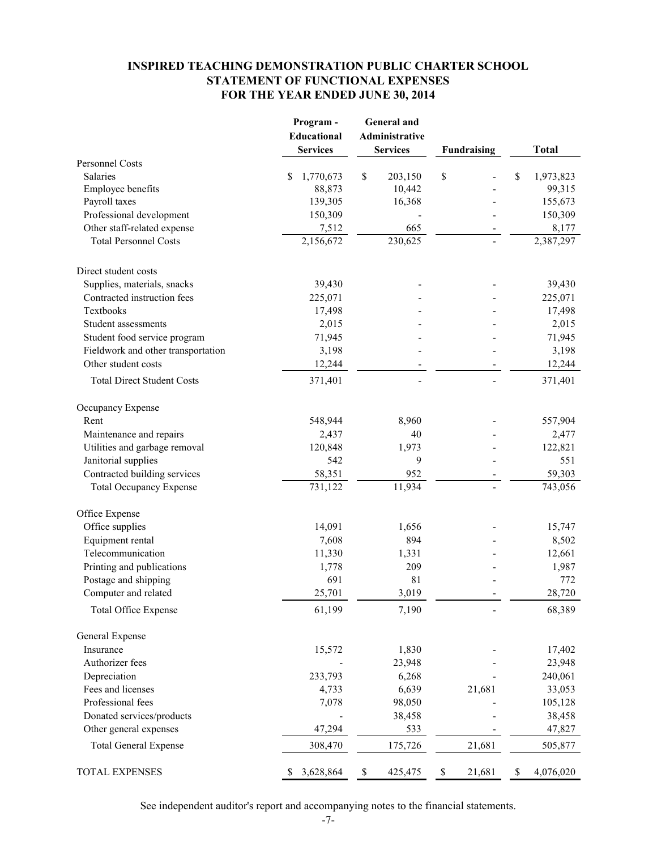#### INSPIRED TEACHING DEMONSTRATION PUBLIC CHARTER SCHOOL STATEMENT OF FUNCTIONAL EXPENSES FOR THE YEAR ENDED JUNE 30, 2014

|                                    | Program-        | <b>General</b> and    |                    |                 |
|------------------------------------|-----------------|-----------------------|--------------------|-----------------|
|                                    | Educational     | <b>Administrative</b> |                    |                 |
|                                    | <b>Services</b> | <b>Services</b>       | <b>Fundraising</b> | <b>Total</b>    |
| Personnel Costs                    |                 |                       |                    |                 |
| Salaries                           | \$<br>1,770,673 | \$<br>203,150         | \$                 | \$<br>1,973,823 |
| Employee benefits                  | 88,873          | 10,442                |                    | 99,315          |
| Payroll taxes                      | 139,305         | 16,368                |                    | 155,673         |
| Professional development           | 150,309         |                       |                    | 150,309         |
| Other staff-related expense        | 7,512           | 665                   |                    | 8,177           |
| <b>Total Personnel Costs</b>       | 2,156,672       | 230,625               |                    | 2,387,297       |
| Direct student costs               |                 |                       |                    |                 |
| Supplies, materials, snacks        | 39,430          |                       |                    | 39,430          |
| Contracted instruction fees        | 225,071         |                       |                    | 225,071         |
| Textbooks                          | 17,498          |                       |                    | 17,498          |
| Student assessments                | 2,015           |                       |                    | 2,015           |
| Student food service program       | 71,945          |                       |                    | 71,945          |
| Fieldwork and other transportation | 3,198           |                       |                    | 3,198           |
| Other student costs                | 12,244          |                       |                    | 12,244          |
| <b>Total Direct Student Costs</b>  | 371,401         |                       |                    | 371,401         |
| Occupancy Expense                  |                 |                       |                    |                 |
| Rent                               | 548,944         | 8,960                 |                    | 557,904         |
| Maintenance and repairs            | 2,437           | 40                    |                    | 2,477           |
| Utilities and garbage removal      | 120,848         | 1,973                 |                    | 122,821         |
| Janitorial supplies                | 542             | 9                     |                    | 551             |
| Contracted building services       | 58,351          | 952                   |                    | 59,303          |
| <b>Total Occupancy Expense</b>     | 731,122         | 11,934                |                    | 743,056         |
| Office Expense                     |                 |                       |                    |                 |
| Office supplies                    | 14,091          | 1,656                 |                    | 15,747          |
| Equipment rental                   | 7,608           | 894                   |                    | 8,502           |
| Telecommunication                  | 11,330          | 1,331                 |                    | 12,661          |
| Printing and publications          | 1,778           | 209                   |                    | 1,987           |
| Postage and shipping               | 691             | 81                    |                    | 772             |
| Computer and related               | 25,701          | 3,019                 |                    | 28,720          |
| <b>Total Office Expense</b>        | 61,199          | 7,190                 |                    | 68,389          |
| General Expense                    |                 |                       |                    |                 |
| Insurance                          | 15,572          | 1,830                 |                    | 17,402          |
| Authorizer fees                    |                 | 23,948                |                    | 23,948          |
| Depreciation                       | 233,793         | 6,268                 |                    | 240,061         |
| Fees and licenses                  | 4,733           | 6,639                 | 21,681             | 33,053          |
| Professional fees                  | 7,078           | 98,050                |                    | 105,128         |
| Donated services/products          |                 | 38,458                |                    | 38,458          |
| Other general expenses             | 47,294          | 533                   |                    | 47,827          |
| <b>Total General Expense</b>       | 308,470         | 175,726               | 21,681             | 505,877         |
| <b>TOTAL EXPENSES</b>              | 3,628,864       | \$<br>425,475         | \$<br>21,681       | \$<br>4,076,020 |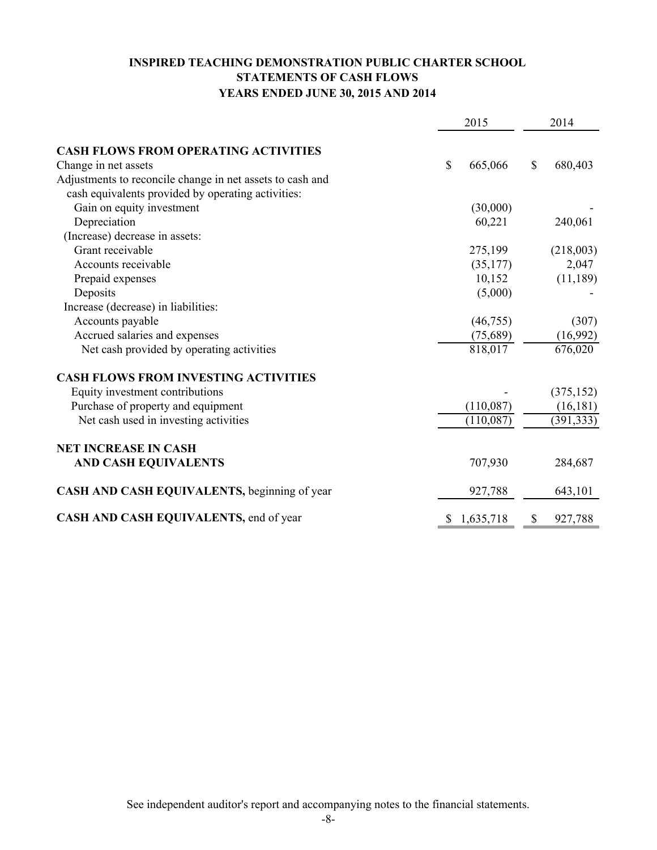# INSPIRED TEACHING DEMONSTRATION PUBLIC CHARTER SCHOOL STATEMENTS OF CASH FLOWS YEARS ENDED JUNE 30, 2015 AND 2014

|                                                           |    | 2015      |               | 2014       |  |
|-----------------------------------------------------------|----|-----------|---------------|------------|--|
| <b>CASH FLOWS FROM OPERATING ACTIVITIES</b>               |    |           |               |            |  |
| Change in net assets                                      | \$ | 665,066   | $\mathcal{S}$ | 680,403    |  |
| Adjustments to reconcile change in net assets to cash and |    |           |               |            |  |
| cash equivalents provided by operating activities:        |    |           |               |            |  |
| Gain on equity investment                                 |    | (30,000)  |               |            |  |
| Depreciation                                              |    | 60,221    |               | 240,061    |  |
| (Increase) decrease in assets:                            |    |           |               |            |  |
| Grant receivable                                          |    | 275,199   |               | (218,003)  |  |
| Accounts receivable                                       |    | (35, 177) |               | 2,047      |  |
| Prepaid expenses                                          |    | 10,152    |               | (11, 189)  |  |
| Deposits                                                  |    | (5,000)   |               |            |  |
| Increase (decrease) in liabilities:                       |    |           |               |            |  |
| Accounts payable                                          |    | (46, 755) |               | (307)      |  |
| Accrued salaries and expenses                             |    | (75,689)  |               | (16,992)   |  |
| Net cash provided by operating activities                 |    | 818,017   |               | 676,020    |  |
| <b>CASH FLOWS FROM INVESTING ACTIVITIES</b>               |    |           |               |            |  |
| Equity investment contributions                           |    |           |               | (375, 152) |  |
| Purchase of property and equipment                        |    | (110,087) |               | (16, 181)  |  |
| Net cash used in investing activities                     |    | (110,087) |               | (391, 333) |  |
| <b>NET INCREASE IN CASH</b>                               |    |           |               |            |  |
| <b>AND CASH EQUIVALENTS</b>                               |    | 707,930   |               | 284,687    |  |
| CASH AND CASH EQUIVALENTS, beginning of year              |    | 927,788   |               | 643,101    |  |
| CASH AND CASH EQUIVALENTS, end of year                    | \$ | 1,635,718 | \$            | 927,788    |  |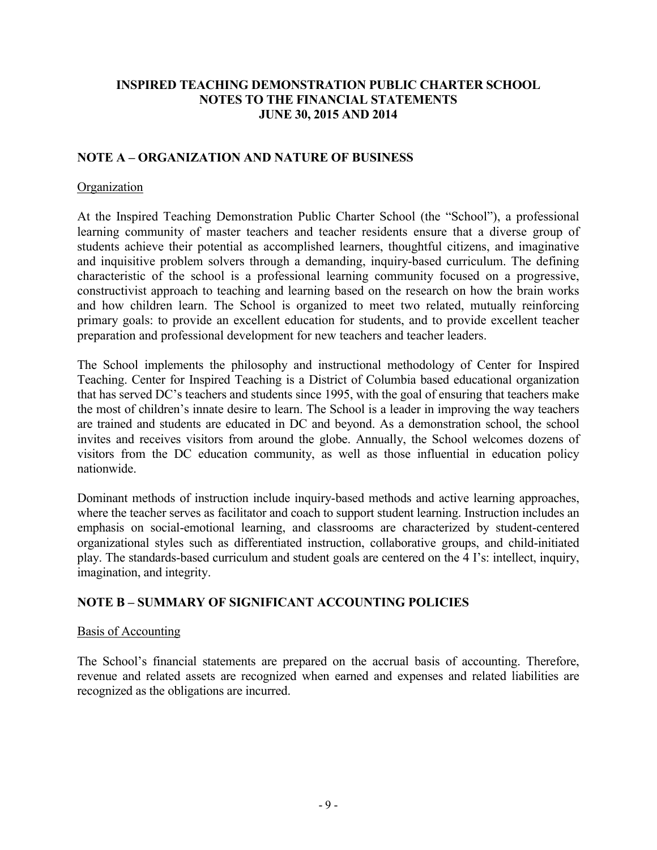## NOTE A – ORGANIZATION AND NATURE OF BUSINESS

#### **Organization**

At the Inspired Teaching Demonstration Public Charter School (the "School"), a professional learning community of master teachers and teacher residents ensure that a diverse group of students achieve their potential as accomplished learners, thoughtful citizens, and imaginative and inquisitive problem solvers through a demanding, inquiry-based curriculum. The defining characteristic of the school is a professional learning community focused on a progressive, constructivist approach to teaching and learning based on the research on how the brain works and how children learn. The School is organized to meet two related, mutually reinforcing primary goals: to provide an excellent education for students, and to provide excellent teacher preparation and professional development for new teachers and teacher leaders.

The School implements the philosophy and instructional methodology of Center for Inspired Teaching. Center for Inspired Teaching is a District of Columbia based educational organization that has served DC's teachers and students since 1995, with the goal of ensuring that teachers make the most of children's innate desire to learn. The School is a leader in improving the way teachers are trained and students are educated in DC and beyond. As a demonstration school, the school invites and receives visitors from around the globe. Annually, the School welcomes dozens of visitors from the DC education community, as well as those influential in education policy nationwide.

Dominant methods of instruction include inquiry-based methods and active learning approaches, where the teacher serves as facilitator and coach to support student learning. Instruction includes an emphasis on social-emotional learning, and classrooms are characterized by student-centered organizational styles such as differentiated instruction, collaborative groups, and child-initiated play. The standards-based curriculum and student goals are centered on the 4 I's: intellect, inquiry, imagination, and integrity.

#### NOTE B – SUMMARY OF SIGNIFICANT ACCOUNTING POLICIES

#### Basis of Accounting

The School's financial statements are prepared on the accrual basis of accounting. Therefore, revenue and related assets are recognized when earned and expenses and related liabilities are recognized as the obligations are incurred.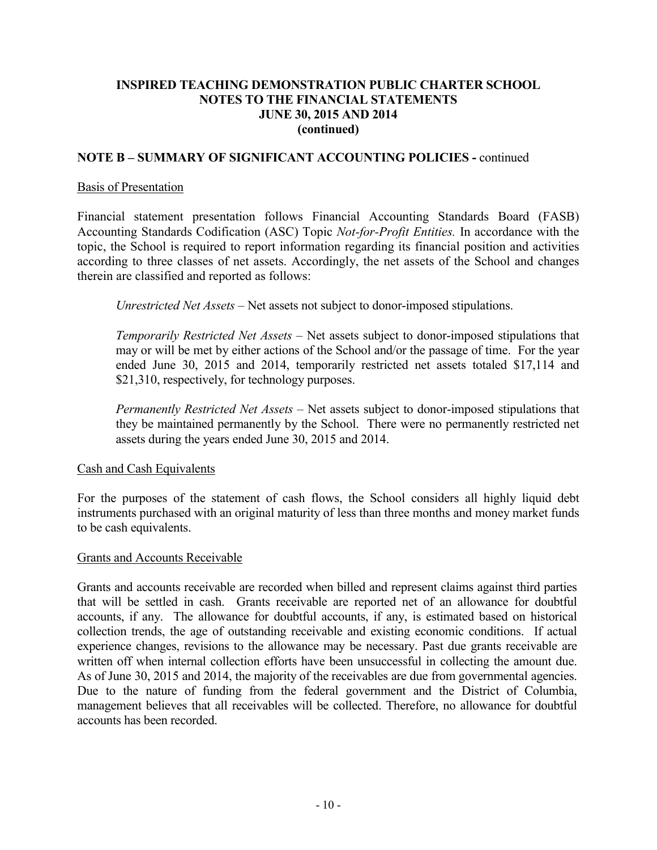## NOTE B – SUMMARY OF SIGNIFICANT ACCOUNTING POLICIES - continued

#### Basis of Presentation

Financial statement presentation follows Financial Accounting Standards Board (FASB) Accounting Standards Codification (ASC) Topic Not-for-Profit Entities. In accordance with the topic, the School is required to report information regarding its financial position and activities according to three classes of net assets. Accordingly, the net assets of the School and changes therein are classified and reported as follows:

Unrestricted Net Assets – Net assets not subject to donor-imposed stipulations.

Temporarily Restricted Net Assets – Net assets subject to donor-imposed stipulations that may or will be met by either actions of the School and/or the passage of time. For the year ended June 30, 2015 and 2014, temporarily restricted net assets totaled \$17,114 and \$21,310, respectively, for technology purposes.

Permanently Restricted Net Assets – Net assets subject to donor-imposed stipulations that they be maintained permanently by the School. There were no permanently restricted net assets during the years ended June 30, 2015 and 2014.

#### Cash and Cash Equivalents

For the purposes of the statement of cash flows, the School considers all highly liquid debt instruments purchased with an original maturity of less than three months and money market funds to be cash equivalents.

#### Grants and Accounts Receivable

Grants and accounts receivable are recorded when billed and represent claims against third parties that will be settled in cash. Grants receivable are reported net of an allowance for doubtful accounts, if any. The allowance for doubtful accounts, if any, is estimated based on historical collection trends, the age of outstanding receivable and existing economic conditions. If actual experience changes, revisions to the allowance may be necessary. Past due grants receivable are written off when internal collection efforts have been unsuccessful in collecting the amount due. As of June 30, 2015 and 2014, the majority of the receivables are due from governmental agencies. Due to the nature of funding from the federal government and the District of Columbia, management believes that all receivables will be collected. Therefore, no allowance for doubtful accounts has been recorded.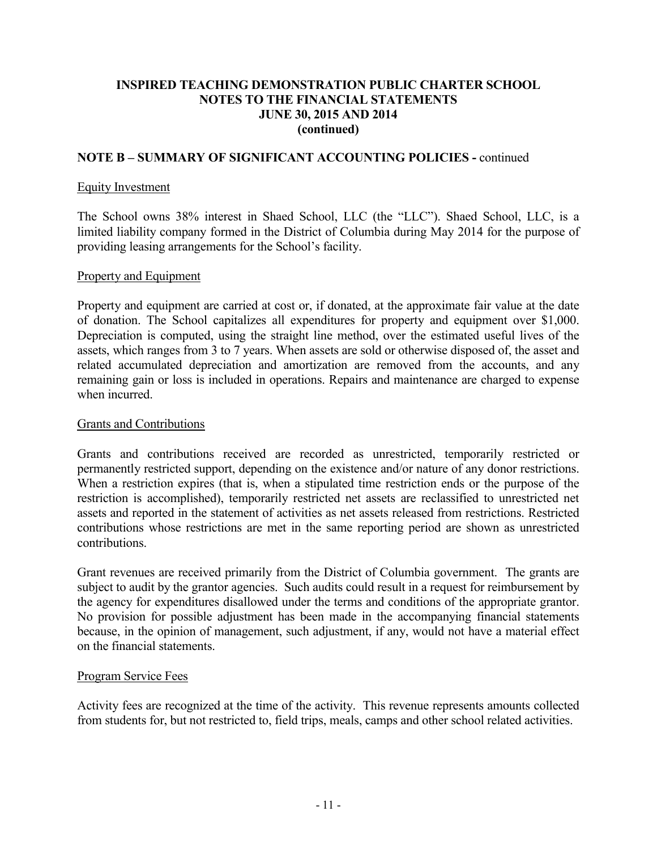#### NOTE B – SUMMARY OF SIGNIFICANT ACCOUNTING POLICIES - continued

#### Equity Investment

The School owns 38% interest in Shaed School, LLC (the "LLC"). Shaed School, LLC, is a limited liability company formed in the District of Columbia during May 2014 for the purpose of providing leasing arrangements for the School's facility.

#### Property and Equipment

Property and equipment are carried at cost or, if donated, at the approximate fair value at the date of donation. The School capitalizes all expenditures for property and equipment over \$1,000. Depreciation is computed, using the straight line method, over the estimated useful lives of the assets, which ranges from 3 to 7 years. When assets are sold or otherwise disposed of, the asset and related accumulated depreciation and amortization are removed from the accounts, and any remaining gain or loss is included in operations. Repairs and maintenance are charged to expense when incurred.

#### Grants and Contributions

Grants and contributions received are recorded as unrestricted, temporarily restricted or permanently restricted support, depending on the existence and/or nature of any donor restrictions. When a restriction expires (that is, when a stipulated time restriction ends or the purpose of the restriction is accomplished), temporarily restricted net assets are reclassified to unrestricted net assets and reported in the statement of activities as net assets released from restrictions. Restricted contributions whose restrictions are met in the same reporting period are shown as unrestricted contributions.

Grant revenues are received primarily from the District of Columbia government. The grants are subject to audit by the grantor agencies. Such audits could result in a request for reimbursement by the agency for expenditures disallowed under the terms and conditions of the appropriate grantor. No provision for possible adjustment has been made in the accompanying financial statements because, in the opinion of management, such adjustment, if any, would not have a material effect on the financial statements.

#### Program Service Fees

Activity fees are recognized at the time of the activity. This revenue represents amounts collected from students for, but not restricted to, field trips, meals, camps and other school related activities.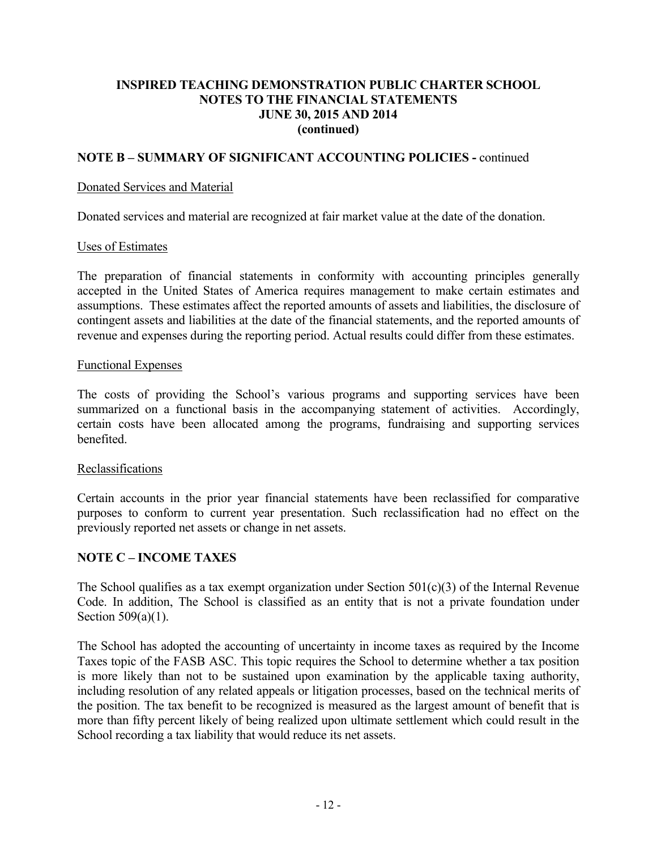## NOTE B – SUMMARY OF SIGNIFICANT ACCOUNTING POLICIES - continued

#### Donated Services and Material

Donated services and material are recognized at fair market value at the date of the donation.

#### Uses of Estimates

The preparation of financial statements in conformity with accounting principles generally accepted in the United States of America requires management to make certain estimates and assumptions. These estimates affect the reported amounts of assets and liabilities, the disclosure of contingent assets and liabilities at the date of the financial statements, and the reported amounts of revenue and expenses during the reporting period. Actual results could differ from these estimates.

#### Functional Expenses

The costs of providing the School's various programs and supporting services have been summarized on a functional basis in the accompanying statement of activities. Accordingly, certain costs have been allocated among the programs, fundraising and supporting services benefited.

#### Reclassifications

Certain accounts in the prior year financial statements have been reclassified for comparative purposes to conform to current year presentation. Such reclassification had no effect on the previously reported net assets or change in net assets.

#### NOTE C – INCOME TAXES

The School qualifies as a tax exempt organization under Section  $501(c)(3)$  of the Internal Revenue Code. In addition, The School is classified as an entity that is not a private foundation under Section 509(a)(1).

The School has adopted the accounting of uncertainty in income taxes as required by the Income Taxes topic of the FASB ASC. This topic requires the School to determine whether a tax position is more likely than not to be sustained upon examination by the applicable taxing authority, including resolution of any related appeals or litigation processes, based on the technical merits of the position. The tax benefit to be recognized is measured as the largest amount of benefit that is more than fifty percent likely of being realized upon ultimate settlement which could result in the School recording a tax liability that would reduce its net assets.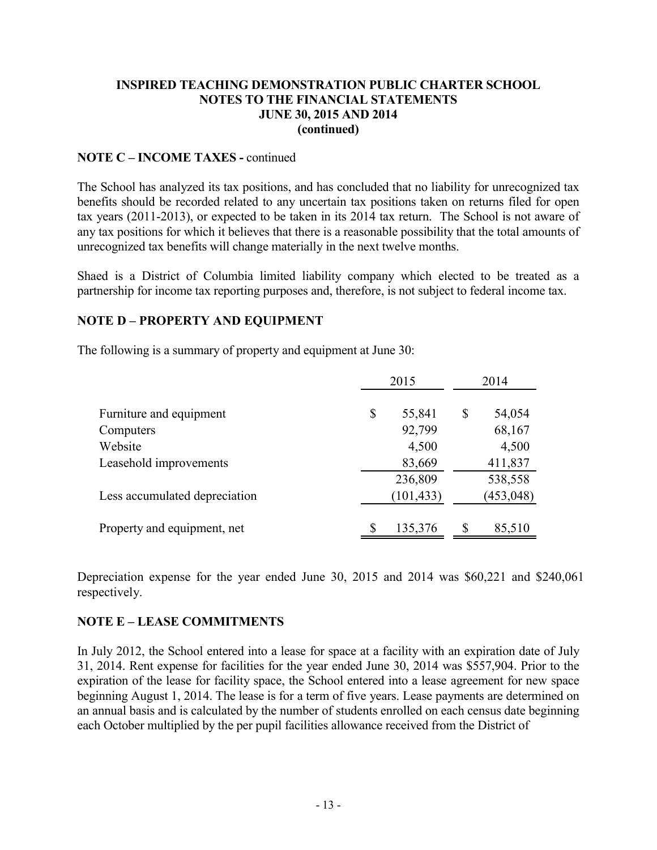#### NOTE C – INCOME TAXES - continued

The School has analyzed its tax positions, and has concluded that no liability for unrecognized tax benefits should be recorded related to any uncertain tax positions taken on returns filed for open tax years (2011-2013), or expected to be taken in its 2014 tax return. The School is not aware of any tax positions for which it believes that there is a reasonable possibility that the total amounts of unrecognized tax benefits will change materially in the next twelve months.

Shaed is a District of Columbia limited liability company which elected to be treated as a partnership for income tax reporting purposes and, therefore, is not subject to federal income tax.

## NOTE D – PROPERTY AND EQUIPMENT

The following is a summary of property and equipment at June 30:

|                               | 2015 |            | 2014 |            |  |
|-------------------------------|------|------------|------|------------|--|
| Furniture and equipment       | \$   | 55,841     | \$   | 54,054     |  |
| Computers                     |      | 92,799     |      | 68,167     |  |
| Website                       |      | 4,500      |      | 4,500      |  |
| Leasehold improvements        |      | 83,669     |      | 411,837    |  |
|                               |      | 236,809    |      | 538,558    |  |
| Less accumulated depreciation |      | (101, 433) |      | (453, 048) |  |
| Property and equipment, net   | S    | 135,376    | S    | 85,510     |  |

Depreciation expense for the year ended June 30, 2015 and 2014 was \$60,221 and \$240,061 respectively.

# NOTE E – LEASE COMMITMENTS

In July 2012, the School entered into a lease for space at a facility with an expiration date of July 31, 2014. Rent expense for facilities for the year ended June 30, 2014 was \$557,904. Prior to the expiration of the lease for facility space, the School entered into a lease agreement for new space beginning August 1, 2014. The lease is for a term of five years. Lease payments are determined on an annual basis and is calculated by the number of students enrolled on each census date beginning each October multiplied by the per pupil facilities allowance received from the District of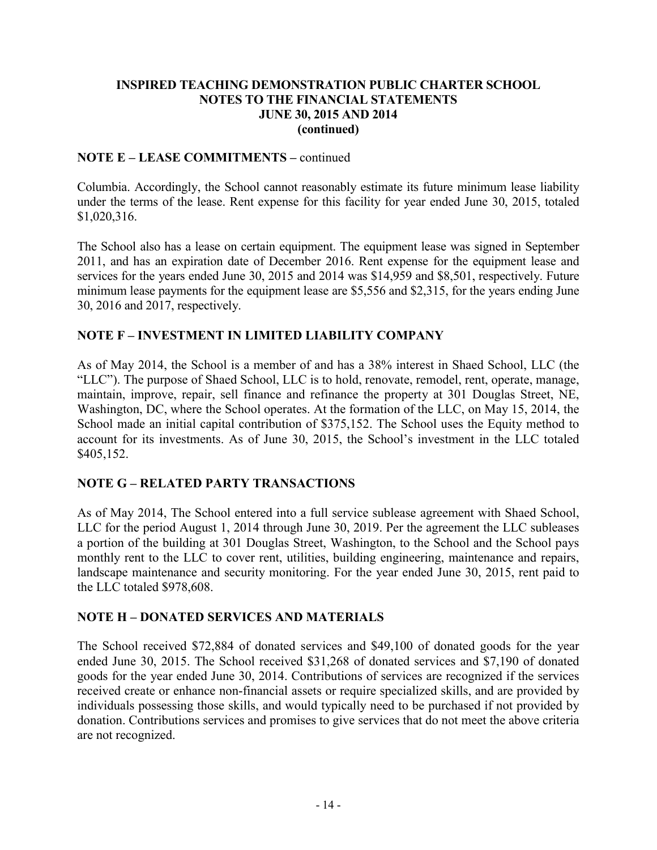## NOTE E – LEASE COMMITMENTS – continued

Columbia. Accordingly, the School cannot reasonably estimate its future minimum lease liability under the terms of the lease. Rent expense for this facility for year ended June 30, 2015, totaled \$1,020,316.

The School also has a lease on certain equipment. The equipment lease was signed in September 2011, and has an expiration date of December 2016. Rent expense for the equipment lease and services for the years ended June 30, 2015 and 2014 was \$14,959 and \$8,501, respectively. Future minimum lease payments for the equipment lease are \$5,556 and \$2,315, for the years ending June 30, 2016 and 2017, respectively.

## NOTE F – INVESTMENT IN LIMITED LIABILITY COMPANY

As of May 2014, the School is a member of and has a 38% interest in Shaed School, LLC (the "LLC"). The purpose of Shaed School, LLC is to hold, renovate, remodel, rent, operate, manage, maintain, improve, repair, sell finance and refinance the property at 301 Douglas Street, NE, Washington, DC, where the School operates. At the formation of the LLC, on May 15, 2014, the School made an initial capital contribution of \$375,152. The School uses the Equity method to account for its investments. As of June 30, 2015, the School's investment in the LLC totaled \$405,152.

# NOTE G – RELATED PARTY TRANSACTIONS

As of May 2014, The School entered into a full service sublease agreement with Shaed School, LLC for the period August 1, 2014 through June 30, 2019. Per the agreement the LLC subleases a portion of the building at 301 Douglas Street, Washington, to the School and the School pays monthly rent to the LLC to cover rent, utilities, building engineering, maintenance and repairs, landscape maintenance and security monitoring. For the year ended June 30, 2015, rent paid to the LLC totaled \$978,608.

# NOTE H – DONATED SERVICES AND MATERIALS

The School received \$72,884 of donated services and \$49,100 of donated goods for the year ended June 30, 2015. The School received \$31,268 of donated services and \$7,190 of donated goods for the year ended June 30, 2014. Contributions of services are recognized if the services received create or enhance non-financial assets or require specialized skills, and are provided by individuals possessing those skills, and would typically need to be purchased if not provided by donation. Contributions services and promises to give services that do not meet the above criteria are not recognized.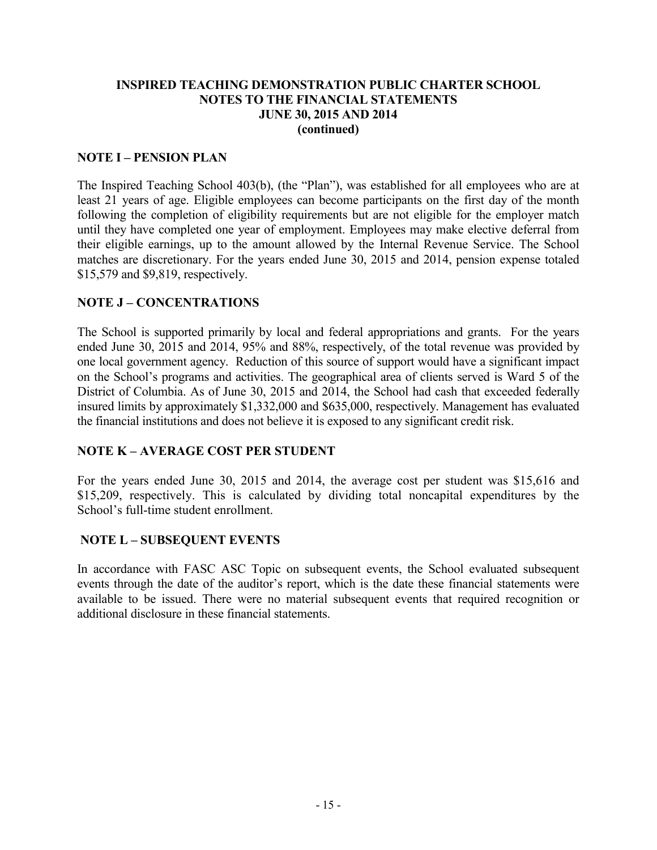#### NOTE I – PENSION PLAN

The Inspired Teaching School 403(b), (the "Plan"), was established for all employees who are at least 21 years of age. Eligible employees can become participants on the first day of the month following the completion of eligibility requirements but are not eligible for the employer match until they have completed one year of employment. Employees may make elective deferral from their eligible earnings, up to the amount allowed by the Internal Revenue Service. The School matches are discretionary. For the years ended June 30, 2015 and 2014, pension expense totaled \$15,579 and \$9,819, respectively.

## NOTE J – CONCENTRATIONS

The School is supported primarily by local and federal appropriations and grants. For the years ended June 30, 2015 and 2014, 95% and 88%, respectively, of the total revenue was provided by one local government agency. Reduction of this source of support would have a significant impact on the School's programs and activities. The geographical area of clients served is Ward 5 of the District of Columbia. As of June 30, 2015 and 2014, the School had cash that exceeded federally insured limits by approximately \$1,332,000 and \$635,000, respectively. Management has evaluated the financial institutions and does not believe it is exposed to any significant credit risk.

# NOTE K – AVERAGE COST PER STUDENT

For the years ended June 30, 2015 and 2014, the average cost per student was \$15,616 and \$15,209, respectively. This is calculated by dividing total noncapital expenditures by the School's full-time student enrollment.

# NOTE L – SUBSEQUENT EVENTS

In accordance with FASC ASC Topic on subsequent events, the School evaluated subsequent events through the date of the auditor's report, which is the date these financial statements were available to be issued. There were no material subsequent events that required recognition or additional disclosure in these financial statements.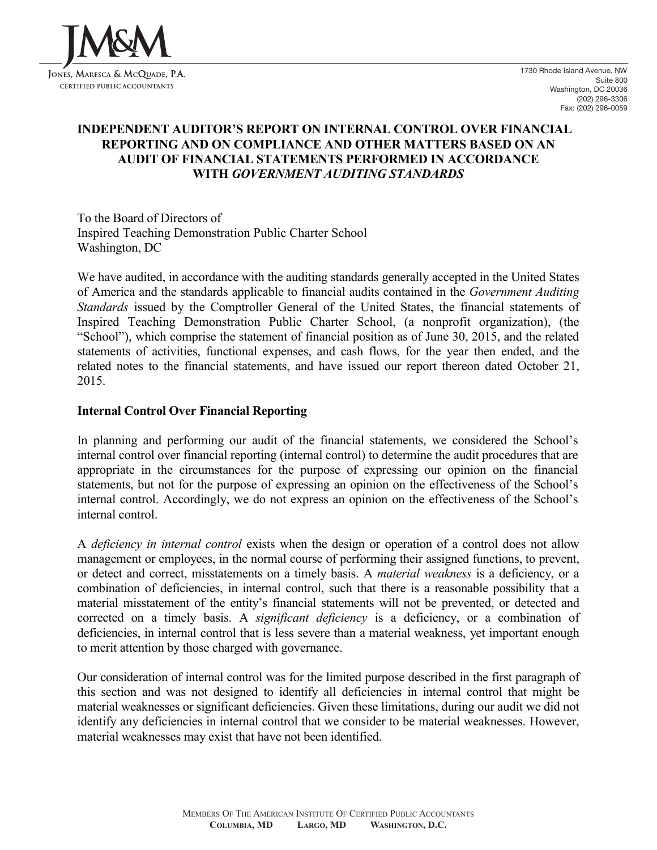

# INDEPENDENT AUDITOR'S REPORT ON INTERNAL CONTROL OVER FINANCIAL REPORTING AND ON COMPLIANCE AND OTHER MATTERS BASED ON AN AUDIT OF FINANCIAL STATEMENTS PERFORMED IN ACCORDANCE WITH GOVERNMENT AUDITING STANDARDS

To the Board of Directors of Inspired Teaching Demonstration Public Charter School Washington, DC

We have audited, in accordance with the auditing standards generally accepted in the United States of America and the standards applicable to financial audits contained in the Government Auditing Standards issued by the Comptroller General of the United States, the financial statements of Inspired Teaching Demonstration Public Charter School, (a nonprofit organization), (the "School"), which comprise the statement of financial position as of June 30, 2015, and the related statements of activities, functional expenses, and cash flows, for the year then ended, and the related notes to the financial statements, and have issued our report thereon dated October 21, 2015.

## Internal Control Over Financial Reporting

In planning and performing our audit of the financial statements, we considered the School's internal control over financial reporting (internal control) to determine the audit procedures that are appropriate in the circumstances for the purpose of expressing our opinion on the financial statements, but not for the purpose of expressing an opinion on the effectiveness of the School's internal control. Accordingly, we do not express an opinion on the effectiveness of the School's internal control.

A deficiency in internal control exists when the design or operation of a control does not allow management or employees, in the normal course of performing their assigned functions, to prevent, or detect and correct, misstatements on a timely basis. A material weakness is a deficiency, or a combination of deficiencies, in internal control, such that there is a reasonable possibility that a material misstatement of the entity's financial statements will not be prevented, or detected and corrected on a timely basis. A *significant deficiency* is a deficiency, or a combination of deficiencies, in internal control that is less severe than a material weakness, yet important enough to merit attention by those charged with governance.

Our consideration of internal control was for the limited purpose described in the first paragraph of this section and was not designed to identify all deficiencies in internal control that might be material weaknesses or significant deficiencies. Given these limitations, during our audit we did not identify any deficiencies in internal control that we consider to be material weaknesses. However, material weaknesses may exist that have not been identified.